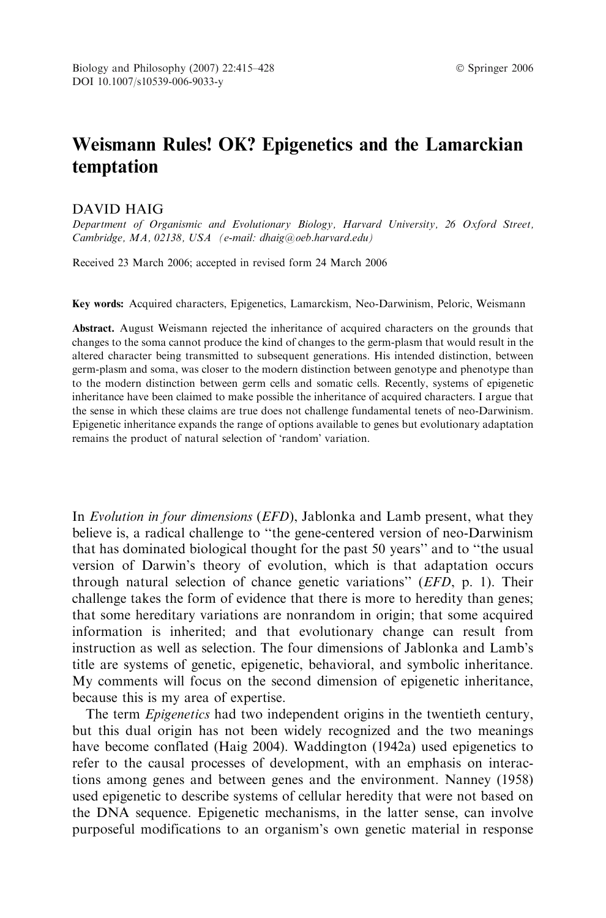# Weismann Rules! OK? Epigenetics and the Lamarckian temptation

## DAVID HAIG

Department of Organismic and Evolutionary Biology, Harvard University, 26 Oxford Street, Cambridge, MA, 02138, USA (e-mail: dhaig@oeb.harvard.edu)

Received 23 March 2006; accepted in revised form 24 March 2006

Key words: Acquired characters, Epigenetics, Lamarckism, Neo-Darwinism, Peloric, Weismann

Abstract. August Weismann rejected the inheritance of acquired characters on the grounds that changes to the soma cannot produce the kind of changes to the germ-plasm that would result in the altered character being transmitted to subsequent generations. His intended distinction, between germ-plasm and soma, was closer to the modern distinction between genotype and phenotype than to the modern distinction between germ cells and somatic cells. Recently, systems of epigenetic inheritance have been claimed to make possible the inheritance of acquired characters. I argue that the sense in which these claims are true does not challenge fundamental tenets of neo-Darwinism. Epigenetic inheritance expands the range of options available to genes but evolutionary adaptation remains the product of natural selection of 'random' variation.

In *Evolution in four dimensions (EFD)*, Jablonka and Lamb present, what they believe is, a radical challenge to ''the gene-centered version of neo-Darwinism that has dominated biological thought for the past 50 years'' and to ''the usual version of Darwin's theory of evolution, which is that adaptation occurs through natural selection of chance genetic variations'' (EFD, p. 1). Their challenge takes the form of evidence that there is more to heredity than genes; that some hereditary variations are nonrandom in origin; that some acquired information is inherited; and that evolutionary change can result from instruction as well as selection. The four dimensions of Jablonka and Lamb's title are systems of genetic, epigenetic, behavioral, and symbolic inheritance. My comments will focus on the second dimension of epigenetic inheritance, because this is my area of expertise.

The term *Epigenetics* had two independent origins in the twentieth century, but this dual origin has not been widely recognized and the two meanings have become conflated (Haig 2004). Waddington (1942a) used epigenetics to refer to the causal processes of development, with an emphasis on interactions among genes and between genes and the environment. Nanney (1958) used epigenetic to describe systems of cellular heredity that were not based on the DNA sequence. Epigenetic mechanisms, in the latter sense, can involve purposeful modifications to an organism's own genetic material in response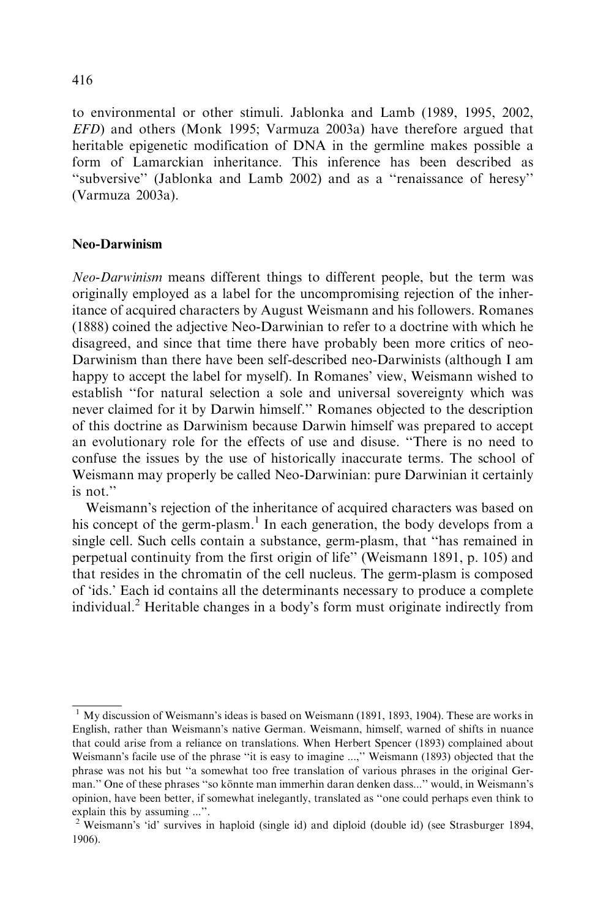to environmental or other stimuli. Jablonka and Lamb (1989, 1995, 2002, EFD) and others (Monk 1995; Varmuza 2003a) have therefore argued that heritable epigenetic modification of DNA in the germline makes possible a form of Lamarckian inheritance. This inference has been described as ''subversive'' (Jablonka and Lamb 2002) and as a ''renaissance of heresy'' (Varmuza 2003a).

#### Neo-Darwinism

Neo-Darwinism means different things to different people, but the term was originally employed as a label for the uncompromising rejection of the inheritance of acquired characters by August Weismann and his followers. Romanes (1888) coined the adjective Neo-Darwinian to refer to a doctrine with which he disagreed, and since that time there have probably been more critics of neo-Darwinism than there have been self-described neo-Darwinists (although I am happy to accept the label for myself). In Romanes' view, Weismann wished to establish ''for natural selection a sole and universal sovereignty which was never claimed for it by Darwin himself.'' Romanes objected to the description of this doctrine as Darwinism because Darwin himself was prepared to accept an evolutionary role for the effects of use and disuse. ''There is no need to confuse the issues by the use of historically inaccurate terms. The school of Weismann may properly be called Neo-Darwinian: pure Darwinian it certainly is not.''

Weismann's rejection of the inheritance of acquired characters was based on his concept of the germ-plasm.<sup>1</sup> In each generation, the body develops from a single cell. Such cells contain a substance, germ-plasm, that ''has remained in perpetual continuity from the first origin of life'' (Weismann 1891, p. 105) and that resides in the chromatin of the cell nucleus. The germ-plasm is composed of 'ids.' Each id contains all the determinants necessary to produce a complete individual.<sup>2</sup> Heritable changes in a body's form must originate indirectly from

<sup>&</sup>lt;sup>1</sup> My discussion of Weismann's ideas is based on Weismann (1891, 1893, 1904). These are works in English, rather than Weismann's native German. Weismann, himself, warned of shifts in nuance that could arise from a reliance on translations. When Herbert Spencer (1893) complained about Weismann's facile use of the phrase ''it is easy to imagine ...,'' Weismann (1893) objected that the phrase was not his but ''a somewhat too free translation of various phrases in the original German." One of these phrases "so könnte man immerhin daran denken dass..." would, in Weismann's opinion, have been better, if somewhat inelegantly, translated as ''one could perhaps even think to explain this by assuming ...''.

<sup>2</sup> Weismann's 'id' survives in haploid (single id) and diploid (double id) (see Strasburger 1894, 1906).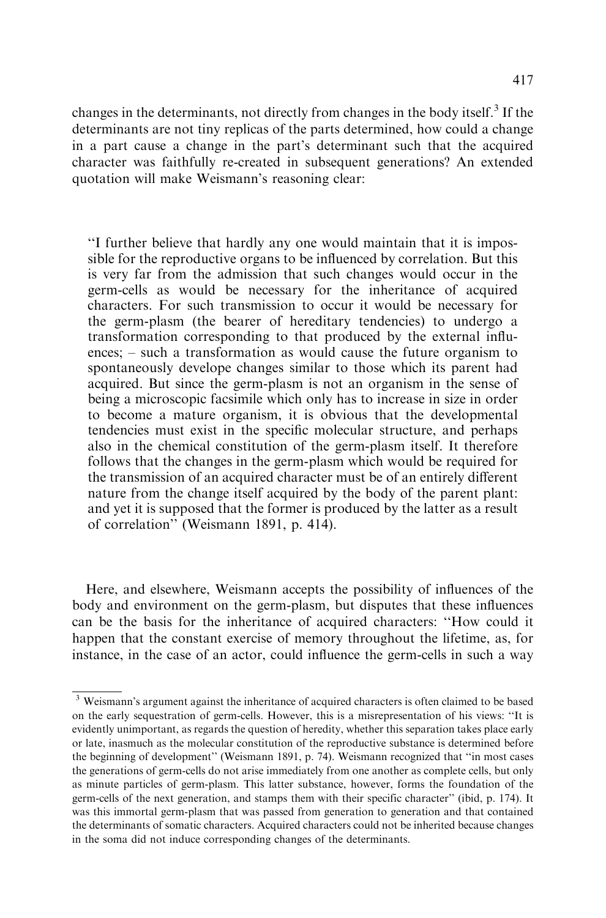changes in the determinants, not directly from changes in the body itself.<sup>3</sup> If the determinants are not tiny replicas of the parts determined, how could a change in a part cause a change in the part's determinant such that the acquired character was faithfully re-created in subsequent generations? An extended quotation will make Weismann's reasoning clear:

''I further believe that hardly any one would maintain that it is impossible for the reproductive organs to be influenced by correlation. But this is very far from the admission that such changes would occur in the germ-cells as would be necessary for the inheritance of acquired characters. For such transmission to occur it would be necessary for the germ-plasm (the bearer of hereditary tendencies) to undergo a transformation corresponding to that produced by the external influences; – such a transformation as would cause the future organism to spontaneously develope changes similar to those which its parent had acquired. But since the germ-plasm is not an organism in the sense of being a microscopic facsimile which only has to increase in size in order to become a mature organism, it is obvious that the developmental tendencies must exist in the specific molecular structure, and perhaps also in the chemical constitution of the germ-plasm itself. It therefore follows that the changes in the germ-plasm which would be required for the transmission of an acquired character must be of an entirely different nature from the change itself acquired by the body of the parent plant: and yet it is supposed that the former is produced by the latter as a result of correlation'' (Weismann 1891, p. 414).

Here, and elsewhere, Weismann accepts the possibility of influences of the body and environment on the germ-plasm, but disputes that these influences can be the basis for the inheritance of acquired characters: ''How could it happen that the constant exercise of memory throughout the lifetime, as, for instance, in the case of an actor, could influence the germ-cells in such a way

<sup>&</sup>lt;sup>3</sup> Weismann's argument against the inheritance of acquired characters is often claimed to be based on the early sequestration of germ-cells. However, this is a misrepresentation of his views: ''It is evidently unimportant, as regards the question of heredity, whether this separation takes place early or late, inasmuch as the molecular constitution of the reproductive substance is determined before the beginning of development'' (Weismann 1891, p. 74). Weismann recognized that ''in most cases the generations of germ-cells do not arise immediately from one another as complete cells, but only as minute particles of germ-plasm. This latter substance, however, forms the foundation of the germ-cells of the next generation, and stamps them with their specific character'' (ibid, p. 174). It was this immortal germ-plasm that was passed from generation to generation and that contained the determinants of somatic characters. Acquired characters could not be inherited because changes in the soma did not induce corresponding changes of the determinants.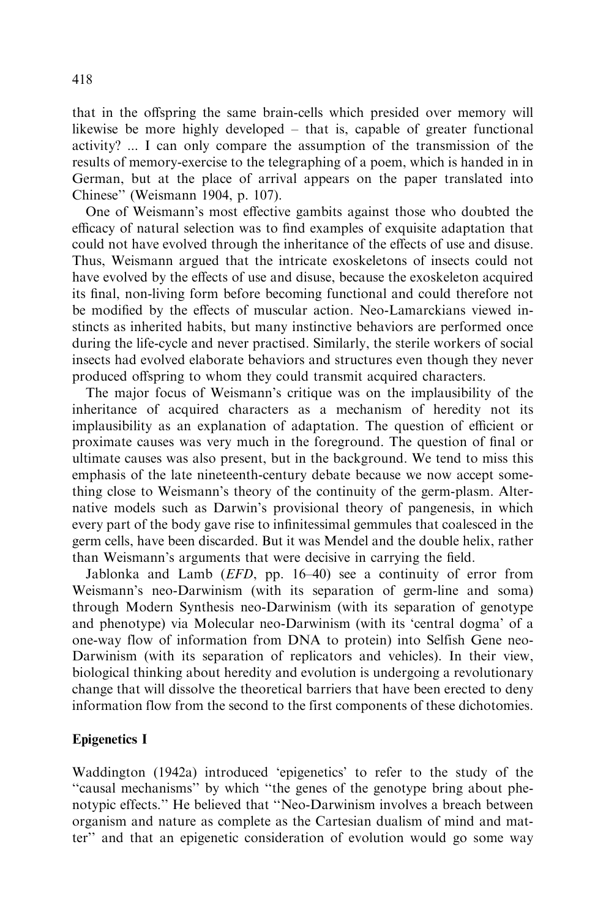that in the offspring the same brain-cells which presided over memory will likewise be more highly developed – that is, capable of greater functional activity? ... I can only compare the assumption of the transmission of the results of memory-exercise to the telegraphing of a poem, which is handed in in German, but at the place of arrival appears on the paper translated into Chinese'' (Weismann 1904, p. 107).

One of Weismann's most effective gambits against those who doubted the efficacy of natural selection was to find examples of exquisite adaptation that could not have evolved through the inheritance of the effects of use and disuse. Thus, Weismann argued that the intricate exoskeletons of insects could not have evolved by the effects of use and disuse, because the exoskeleton acquired its final, non-living form before becoming functional and could therefore not be modified by the effects of muscular action. Neo-Lamarckians viewed instincts as inherited habits, but many instinctive behaviors are performed once during the life-cycle and never practised. Similarly, the sterile workers of social insects had evolved elaborate behaviors and structures even though they never produced offspring to whom they could transmit acquired characters.

The major focus of Weismann's critique was on the implausibility of the inheritance of acquired characters as a mechanism of heredity not its implausibility as an explanation of adaptation. The question of efficient or proximate causes was very much in the foreground. The question of final or ultimate causes was also present, but in the background. We tend to miss this emphasis of the late nineteenth-century debate because we now accept something close to Weismann's theory of the continuity of the germ-plasm. Alternative models such as Darwin's provisional theory of pangenesis, in which every part of the body gave rise to infinitessimal gemmules that coalesced in the germ cells, have been discarded. But it was Mendel and the double helix, rather than Weismann's arguments that were decisive in carrying the field.

Jablonka and Lamb  $(EFD, pp. 16–40)$  see a continuity of error from Weismann's neo-Darwinism (with its separation of germ-line and soma) through Modern Synthesis neo-Darwinism (with its separation of genotype and phenotype) via Molecular neo-Darwinism (with its 'central dogma' of a one-way flow of information from DNA to protein) into Selfish Gene neo-Darwinism (with its separation of replicators and vehicles). In their view, biological thinking about heredity and evolution is undergoing a revolutionary change that will dissolve the theoretical barriers that have been erected to deny information flow from the second to the first components of these dichotomies.

## Epigenetics I

Waddington (1942a) introduced 'epigenetics' to refer to the study of the "causal mechanisms" by which "the genes of the genotype bring about phenotypic effects.'' He believed that ''Neo-Darwinism involves a breach between organism and nature as complete as the Cartesian dualism of mind and matter'' and that an epigenetic consideration of evolution would go some way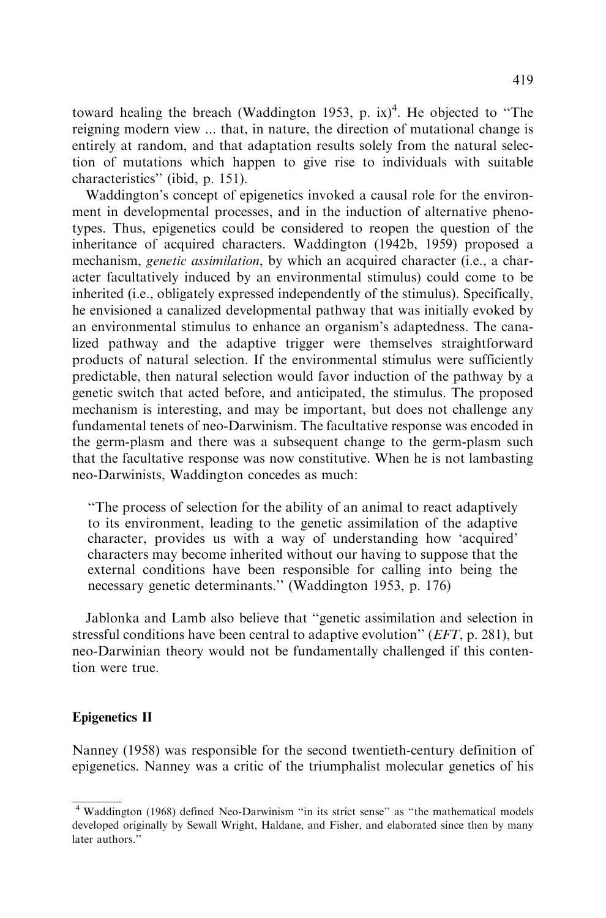toward healing the breach (Waddington 1953, p. ix)<sup>4</sup>. He objected to "The reigning modern view ... that, in nature, the direction of mutational change is entirely at random, and that adaptation results solely from the natural selection of mutations which happen to give rise to individuals with suitable characteristics'' (ibid, p. 151).

Waddington's concept of epigenetics invoked a causal role for the environment in developmental processes, and in the induction of alternative phenotypes. Thus, epigenetics could be considered to reopen the question of the inheritance of acquired characters. Waddington (1942b, 1959) proposed a mechanism, *genetic assimilation*, by which an acquired character (i.e., a character facultatively induced by an environmental stimulus) could come to be inherited (i.e., obligately expressed independently of the stimulus). Specifically, he envisioned a canalized developmental pathway that was initially evoked by an environmental stimulus to enhance an organism's adaptedness. The canalized pathway and the adaptive trigger were themselves straightforward products of natural selection. If the environmental stimulus were sufficiently predictable, then natural selection would favor induction of the pathway by a genetic switch that acted before, and anticipated, the stimulus. The proposed mechanism is interesting, and may be important, but does not challenge any fundamental tenets of neo-Darwinism. The facultative response was encoded in the germ-plasm and there was a subsequent change to the germ-plasm such that the facultative response was now constitutive. When he is not lambasting neo-Darwinists, Waddington concedes as much:

''The process of selection for the ability of an animal to react adaptively to its environment, leading to the genetic assimilation of the adaptive character, provides us with a way of understanding how 'acquired' characters may become inherited without our having to suppose that the external conditions have been responsible for calling into being the necessary genetic determinants.'' (Waddington 1953, p. 176)

Jablonka and Lamb also believe that ''genetic assimilation and selection in stressful conditions have been central to adaptive evolution" ( $EFT$ , p. 281), but neo-Darwinian theory would not be fundamentally challenged if this contention were true.

## Epigenetics II

Nanney (1958) was responsible for the second twentieth-century definition of epigenetics. Nanney was a critic of the triumphalist molecular genetics of his

<sup>4</sup> Waddington (1968) defined Neo-Darwinism ''in its strict sense'' as ''the mathematical models developed originally by Sewall Wright, Haldane, and Fisher, and elaborated since then by many later authors.''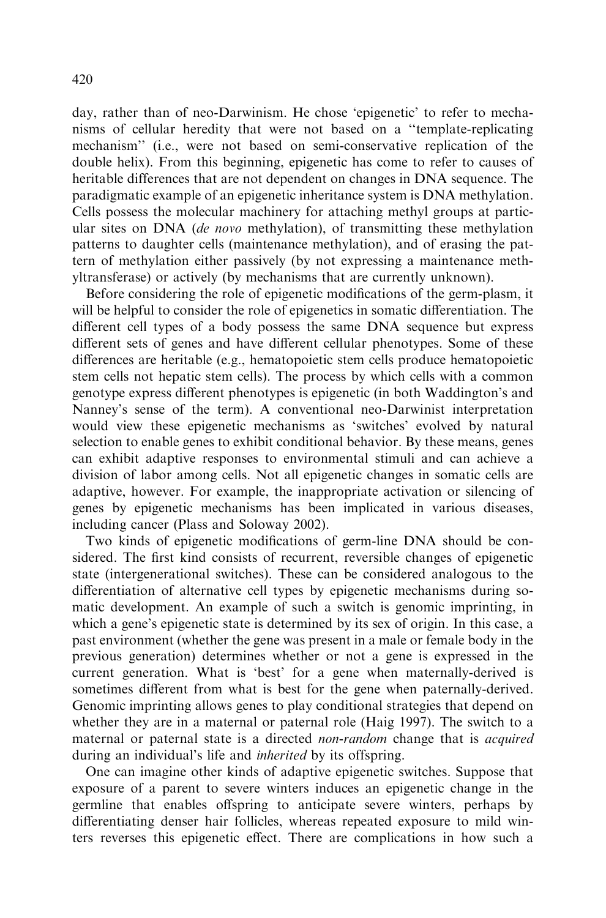day, rather than of neo-Darwinism. He chose 'epigenetic' to refer to mechanisms of cellular heredity that were not based on a ''template-replicating mechanism'' (i.e., were not based on semi-conservative replication of the double helix). From this beginning, epigenetic has come to refer to causes of heritable differences that are not dependent on changes in DNA sequence. The paradigmatic example of an epigenetic inheritance system is DNA methylation. Cells possess the molecular machinery for attaching methyl groups at particular sites on DNA (*de novo* methylation), of transmitting these methylation patterns to daughter cells (maintenance methylation), and of erasing the pattern of methylation either passively (by not expressing a maintenance methyltransferase) or actively (by mechanisms that are currently unknown).

Before considering the role of epigenetic modifications of the germ-plasm, it will be helpful to consider the role of epigenetics in somatic differentiation. The different cell types of a body possess the same DNA sequence but express different sets of genes and have different cellular phenotypes. Some of these differences are heritable (e.g., hematopoietic stem cells produce hematopoietic stem cells not hepatic stem cells). The process by which cells with a common genotype express different phenotypes is epigenetic (in both Waddington's and Nanney's sense of the term). A conventional neo-Darwinist interpretation would view these epigenetic mechanisms as 'switches' evolved by natural selection to enable genes to exhibit conditional behavior. By these means, genes can exhibit adaptive responses to environmental stimuli and can achieve a division of labor among cells. Not all epigenetic changes in somatic cells are adaptive, however. For example, the inappropriate activation or silencing of genes by epigenetic mechanisms has been implicated in various diseases, including cancer (Plass and Soloway 2002).

Two kinds of epigenetic modifications of germ-line DNA should be considered. The first kind consists of recurrent, reversible changes of epigenetic state (intergenerational switches). These can be considered analogous to the differentiation of alternative cell types by epigenetic mechanisms during somatic development. An example of such a switch is genomic imprinting, in which a gene's epigenetic state is determined by its sex of origin. In this case, a past environment (whether the gene was present in a male or female body in the previous generation) determines whether or not a gene is expressed in the current generation. What is 'best' for a gene when maternally-derived is sometimes different from what is best for the gene when paternally-derived. Genomic imprinting allows genes to play conditional strategies that depend on whether they are in a maternal or paternal role (Haig 1997). The switch to a maternal or paternal state is a directed *non-random* change that is *acquired* during an individual's life and *inherited* by its offspring.

One can imagine other kinds of adaptive epigenetic switches. Suppose that exposure of a parent to severe winters induces an epigenetic change in the germline that enables offspring to anticipate severe winters, perhaps by differentiating denser hair follicles, whereas repeated exposure to mild winters reverses this epigenetic effect. There are complications in how such a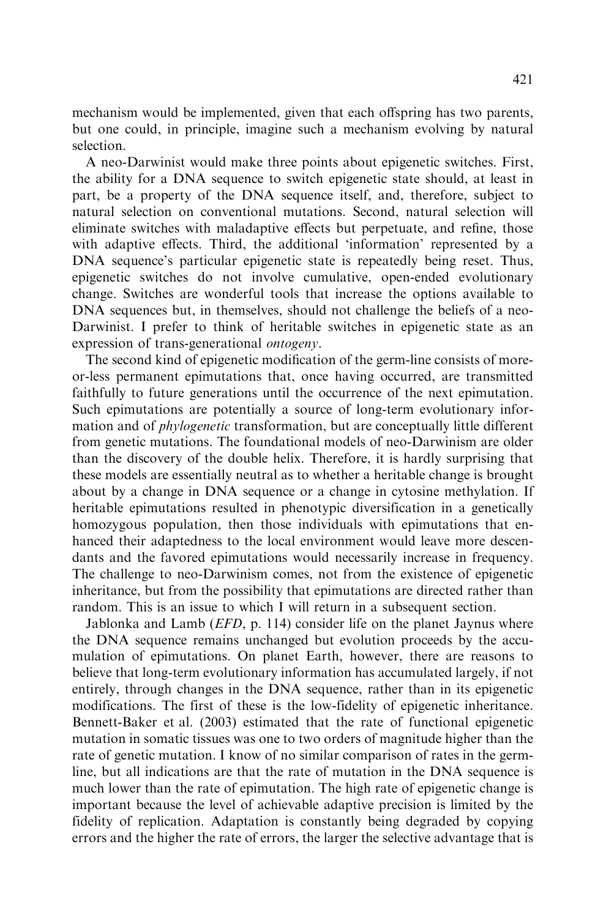mechanism would be implemented, given that each offspring has two parents, but one could, in principle, imagine such a mechanism evolving by natural selection.

A neo-Darwinist would make three points about epigenetic switches. First, the ability for a DNA sequence to switch epigenetic state should, at least in part, be a property of the DNA sequence itself, and, therefore, subject to natural selection on conventional mutations. Second, natural selection will eliminate switches with maladaptive effects but perpetuate, and refine, those with adaptive effects. Third, the additional 'information' represented by a DNA sequence's particular epigenetic state is repeatedly being reset. Thus, epigenetic switches do not involve cumulative, open-ended evolutionary change. Switches are wonderful tools that increase the options available to DNA sequences but, in themselves, should not challenge the beliefs of a neo-Darwinist. I prefer to think of heritable switches in epigenetic state as an expression of trans-generational ontogeny.

The second kind of epigenetic modification of the germ-line consists of moreor-less permanent epimutations that, once having occurred, are transmitted faithfully to future generations until the occurrence of the next epimutation. Such epimutations are potentially a source of long-term evolutionary information and of phylogenetic transformation, but are conceptually little different from genetic mutations. The foundational models of neo-Darwinism are older than the discovery of the double helix. Therefore, it is hardly surprising that these models are essentially neutral as to whether a heritable change is brought about by a change in DNA sequence or a change in cytosine methylation. If heritable epimutations resulted in phenotypic diversification in a genetically homozygous population, then those individuals with epimutations that enhanced their adaptedness to the local environment would leave more descendants and the favored epimutations would necessarily increase in frequency. The challenge to neo-Darwinism comes, not from the existence of epigenetic inheritance, but from the possibility that epimutations are directed rather than random. This is an issue to which I will return in a subsequent section.

Jablonka and Lamb (EFD, p. 114) consider life on the planet Jaynus where the DNA sequence remains unchanged but evolution proceeds by the accumulation of epimutations. On planet Earth, however, there are reasons to believe that long-term evolutionary information has accumulated largely, if not entirely, through changes in the DNA sequence, rather than in its epigenetic modifications. The first of these is the low-fidelity of epigenetic inheritance. Bennett-Baker et al. (2003) estimated that the rate of functional epigenetic mutation in somatic tissues was one to two orders of magnitude higher than the rate of genetic mutation. I know of no similar comparison of rates in the germline, but all indications are that the rate of mutation in the DNA sequence is much lower than the rate of epimutation. The high rate of epigenetic change is important because the level of achievable adaptive precision is limited by the fidelity of replication. Adaptation is constantly being degraded by copying errors and the higher the rate of errors, the larger the selective advantage that is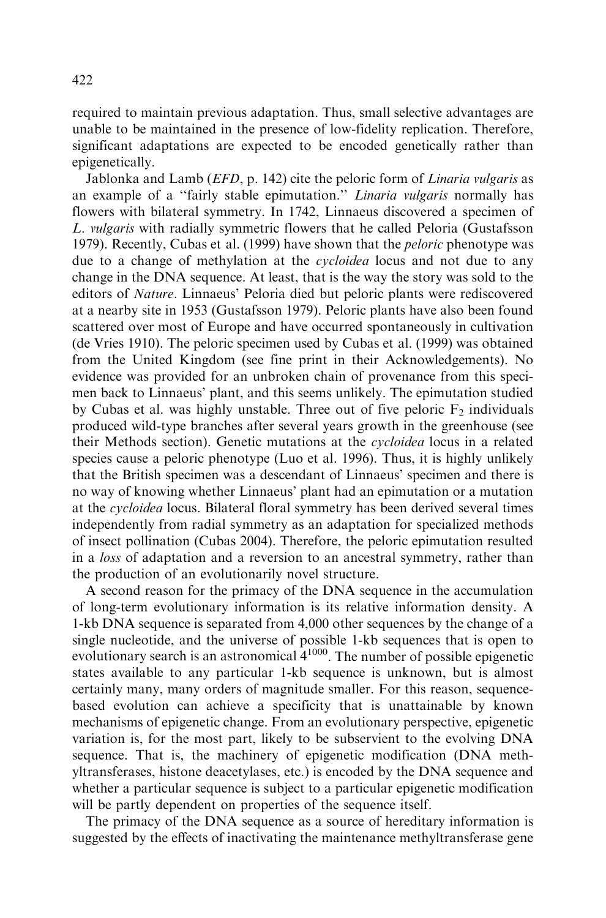required to maintain previous adaptation. Thus, small selective advantages are unable to be maintained in the presence of low-fidelity replication. Therefore, significant adaptations are expected to be encoded genetically rather than epigenetically.

Jablonka and Lamb (*EFD*, p. 142) cite the peloric form of *Linaria vulgaris* as an example of a ''fairly stable epimutation.'' Linaria vulgaris normally has flowers with bilateral symmetry. In 1742, Linnaeus discovered a specimen of L. vulgaris with radially symmetric flowers that he called Peloria (Gustafsson 1979). Recently, Cubas et al. (1999) have shown that the *peloric* phenotype was due to a change of methylation at the cycloidea locus and not due to any change in the DNA sequence. At least, that is the way the story was sold to the editors of Nature. Linnaeus' Peloria died but peloric plants were rediscovered at a nearby site in 1953 (Gustafsson 1979). Peloric plants have also been found scattered over most of Europe and have occurred spontaneously in cultivation (de Vries 1910). The peloric specimen used by Cubas et al. (1999) was obtained from the United Kingdom (see fine print in their Acknowledgements). No evidence was provided for an unbroken chain of provenance from this specimen back to Linnaeus' plant, and this seems unlikely. The epimutation studied by Cubas et al. was highly unstable. Three out of five peloric  $F_2$  individuals produced wild-type branches after several years growth in the greenhouse (see their Methods section). Genetic mutations at the cycloidea locus in a related species cause a peloric phenotype (Luo et al. 1996). Thus, it is highly unlikely that the British specimen was a descendant of Linnaeus' specimen and there is no way of knowing whether Linnaeus' plant had an epimutation or a mutation at the *cycloidea* locus. Bilateral floral symmetry has been derived several times independently from radial symmetry as an adaptation for specialized methods of insect pollination (Cubas 2004). Therefore, the peloric epimutation resulted in a loss of adaptation and a reversion to an ancestral symmetry, rather than the production of an evolutionarily novel structure.

A second reason for the primacy of the DNA sequence in the accumulation of long-term evolutionary information is its relative information density. A 1-kb DNA sequence is separated from 4,000 other sequences by the change of a single nucleotide, and the universe of possible 1-kb sequences that is open to evolutionary search is an astronomical  $4^{1000}$ . The number of possible epigenetic states available to any particular 1-kb sequence is unknown, but is almost certainly many, many orders of magnitude smaller. For this reason, sequencebased evolution can achieve a specificity that is unattainable by known mechanisms of epigenetic change. From an evolutionary perspective, epigenetic variation is, for the most part, likely to be subservient to the evolving DNA sequence. That is, the machinery of epigenetic modification (DNA methyltransferases, histone deacetylases, etc.) is encoded by the DNA sequence and whether a particular sequence is subject to a particular epigenetic modification will be partly dependent on properties of the sequence itself.

The primacy of the DNA sequence as a source of hereditary information is suggested by the effects of inactivating the maintenance methyltransferase gene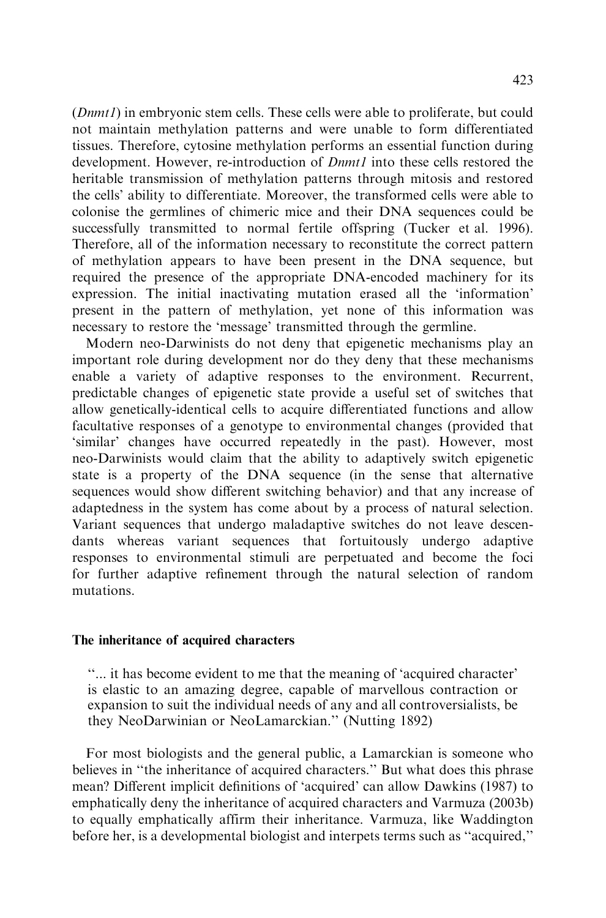(*Dnmt1*) in embryonic stem cells. These cells were able to proliferate, but could not maintain methylation patterns and were unable to form differentiated tissues. Therefore, cytosine methylation performs an essential function during development. However, re-introduction of *Dnmt1* into these cells restored the heritable transmission of methylation patterns through mitosis and restored the cells' ability to differentiate. Moreover, the transformed cells were able to colonise the germlines of chimeric mice and their DNA sequences could be successfully transmitted to normal fertile offspring (Tucker et al. 1996). Therefore, all of the information necessary to reconstitute the correct pattern of methylation appears to have been present in the DNA sequence, but required the presence of the appropriate DNA-encoded machinery for its expression. The initial inactivating mutation erased all the 'information' present in the pattern of methylation, yet none of this information was necessary to restore the 'message' transmitted through the germline.

Modern neo-Darwinists do not deny that epigenetic mechanisms play an important role during development nor do they deny that these mechanisms enable a variety of adaptive responses to the environment. Recurrent, predictable changes of epigenetic state provide a useful set of switches that allow genetically-identical cells to acquire differentiated functions and allow facultative responses of a genotype to environmental changes (provided that 'similar' changes have occurred repeatedly in the past). However, most neo-Darwinists would claim that the ability to adaptively switch epigenetic state is a property of the DNA sequence (in the sense that alternative sequences would show different switching behavior) and that any increase of adaptedness in the system has come about by a process of natural selection. Variant sequences that undergo maladaptive switches do not leave descendants whereas variant sequences that fortuitously undergo adaptive responses to environmental stimuli are perpetuated and become the foci for further adaptive refinement through the natural selection of random mutations.

### The inheritance of acquired characters

''... it has become evident to me that the meaning of 'acquired character' is elastic to an amazing degree, capable of marvellous contraction or expansion to suit the individual needs of any and all controversialists, be they NeoDarwinian or NeoLamarckian.'' (Nutting 1892)

For most biologists and the general public, a Lamarckian is someone who believes in ''the inheritance of acquired characters.'' But what does this phrase mean? Different implicit definitions of 'acquired' can allow Dawkins (1987) to emphatically deny the inheritance of acquired characters and Varmuza (2003b) to equally emphatically affirm their inheritance. Varmuza, like Waddington before her, is a developmental biologist and interpets terms such as ''acquired,''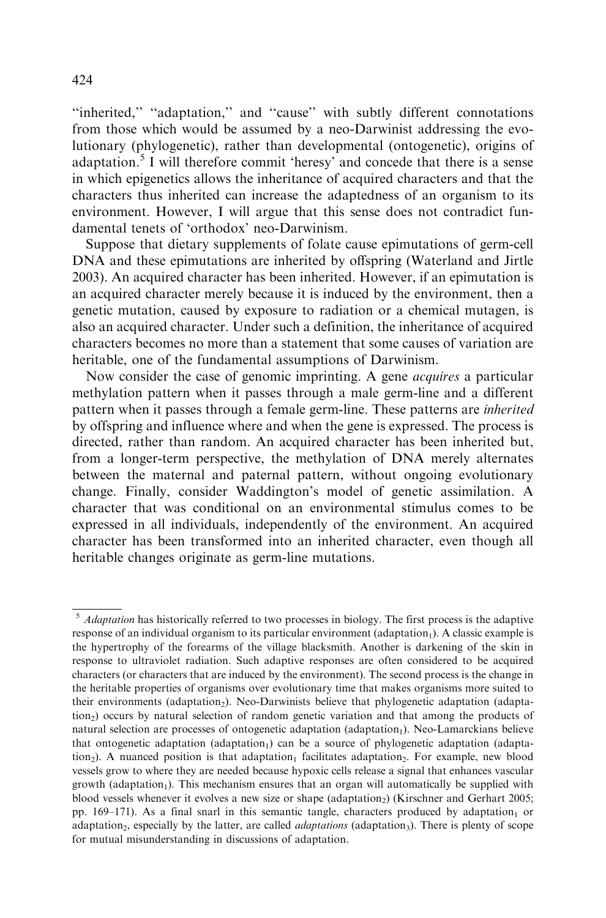''inherited,'' ''adaptation,'' and ''cause'' with subtly different connotations from those which would be assumed by a neo-Darwinist addressing the evolutionary (phylogenetic), rather than developmental (ontogenetic), origins of adaptation.<sup>5</sup> I will therefore commit 'heresy' and concede that there is a sense in which epigenetics allows the inheritance of acquired characters and that the characters thus inherited can increase the adaptedness of an organism to its environment. However, I will argue that this sense does not contradict fundamental tenets of 'orthodox' neo-Darwinism.

Suppose that dietary supplements of folate cause epimutations of germ-cell DNA and these epimutations are inherited by offspring (Waterland and Jirtle 2003). An acquired character has been inherited. However, if an epimutation is an acquired character merely because it is induced by the environment, then a genetic mutation, caused by exposure to radiation or a chemical mutagen, is also an acquired character. Under such a definition, the inheritance of acquired characters becomes no more than a statement that some causes of variation are heritable, one of the fundamental assumptions of Darwinism.

Now consider the case of genomic imprinting. A gene acquires a particular methylation pattern when it passes through a male germ-line and a different pattern when it passes through a female germ-line. These patterns are inherited by offspring and influence where and when the gene is expressed. The process is directed, rather than random. An acquired character has been inherited but, from a longer-term perspective, the methylation of DNA merely alternates between the maternal and paternal pattern, without ongoing evolutionary change. Finally, consider Waddington's model of genetic assimilation. A character that was conditional on an environmental stimulus comes to be expressed in all individuals, independently of the environment. An acquired character has been transformed into an inherited character, even though all heritable changes originate as germ-line mutations.

Adaptation has historically referred to two processes in biology. The first process is the adaptive response of an individual organism to its particular environment (adaptation<sub>1</sub>). A classic example is the hypertrophy of the forearms of the village blacksmith. Another is darkening of the skin in response to ultraviolet radiation. Such adaptive responses are often considered to be acquired characters (or characters that are induced by the environment). The second process is the change in the heritable properties of organisms over evolutionary time that makes organisms more suited to their environments (adaptation<sub>2</sub>). Neo-Darwinists believe that phylogenetic adaptation (adaptation<sub>2</sub>) occurs by natural selection of random genetic variation and that among the products of natural selection are processes of ontogenetic adaptation (adaptation<sub>1</sub>). Neo-Lamarckians believe that ontogenetic adaptation (adaptation<sub>1</sub>) can be a source of phylogenetic adaptation (adaptation<sub>2</sub>). A nuanced position is that adaptation<sub>1</sub> facilitates adaptation<sub>2</sub>. For example, new blood vessels grow to where they are needed because hypoxic cells release a signal that enhances vascular growth (adaptation<sub>1</sub>). This mechanism ensures that an organ will automatically be supplied with blood vessels whenever it evolves a new size or shape (adaptation<sub>2</sub>) (Kirschner and Gerhart 2005; pp. 169–171). As a final snarl in this semantic tangle, characters produced by adaptation<sub>1</sub> or adaptation<sub>2</sub>, especially by the latter, are called *adaptations* (adaptation<sub>3</sub>). There is plenty of scope for mutual misunderstanding in discussions of adaptation.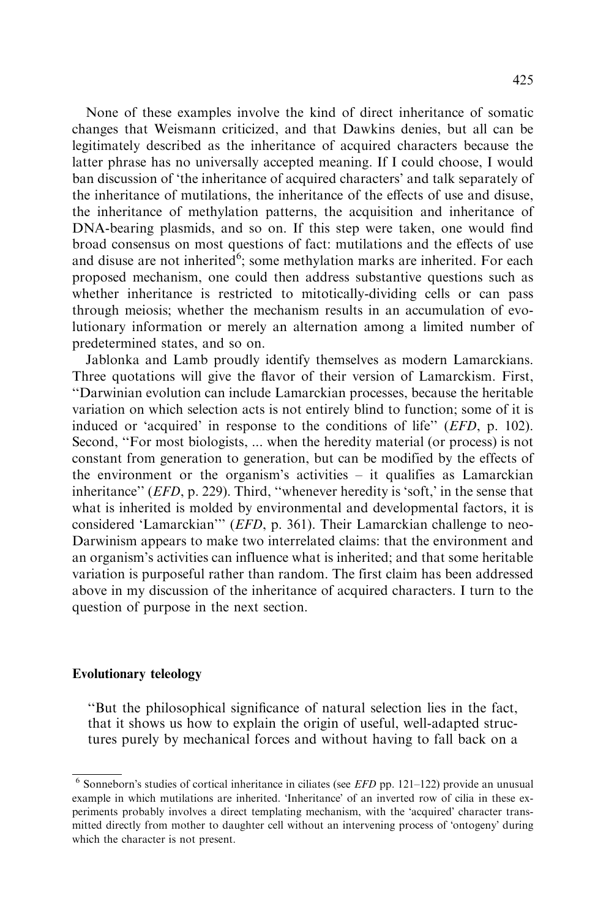None of these examples involve the kind of direct inheritance of somatic changes that Weismann criticized, and that Dawkins denies, but all can be legitimately described as the inheritance of acquired characters because the latter phrase has no universally accepted meaning. If I could choose, I would ban discussion of 'the inheritance of acquired characters' and talk separately of the inheritance of mutilations, the inheritance of the effects of use and disuse, the inheritance of methylation patterns, the acquisition and inheritance of DNA-bearing plasmids, and so on. If this step were taken, one would find broad consensus on most questions of fact: mutilations and the effects of use and disuse are not inherited<sup>6</sup>; some methylation marks are inherited. For each proposed mechanism, one could then address substantive questions such as whether inheritance is restricted to mitotically-dividing cells or can pass through meiosis; whether the mechanism results in an accumulation of evolutionary information or merely an alternation among a limited number of predetermined states, and so on.

Jablonka and Lamb proudly identify themselves as modern Lamarckians. Three quotations will give the flavor of their version of Lamarckism. First, ''Darwinian evolution can include Lamarckian processes, because the heritable variation on which selection acts is not entirely blind to function; some of it is induced or 'acquired' in response to the conditions of life'' (EFD, p. 102). Second, ''For most biologists, ... when the heredity material (or process) is not constant from generation to generation, but can be modified by the effects of the environment or the organism's activities  $-$  it qualifies as Lamarckian inheritance'' (EFD, p. 229). Third, ''whenever heredity is 'soft,' in the sense that what is inherited is molded by environmental and developmental factors, it is considered 'Lamarckian''' (EFD, p. 361). Their Lamarckian challenge to neo-Darwinism appears to make two interrelated claims: that the environment and an organism's activities can influence what is inherited; and that some heritable variation is purposeful rather than random. The first claim has been addressed above in my discussion of the inheritance of acquired characters. I turn to the question of purpose in the next section.

### Evolutionary teleology

''But the philosophical significance of natural selection lies in the fact, that it shows us how to explain the origin of useful, well-adapted structures purely by mechanical forces and without having to fall back on a

 $6$  Sonneborn's studies of cortical inheritance in ciliates (see EFD pp. 121–122) provide an unusual example in which mutilations are inherited. 'Inheritance' of an inverted row of cilia in these experiments probably involves a direct templating mechanism, with the 'acquired' character transmitted directly from mother to daughter cell without an intervening process of 'ontogeny' during which the character is not present.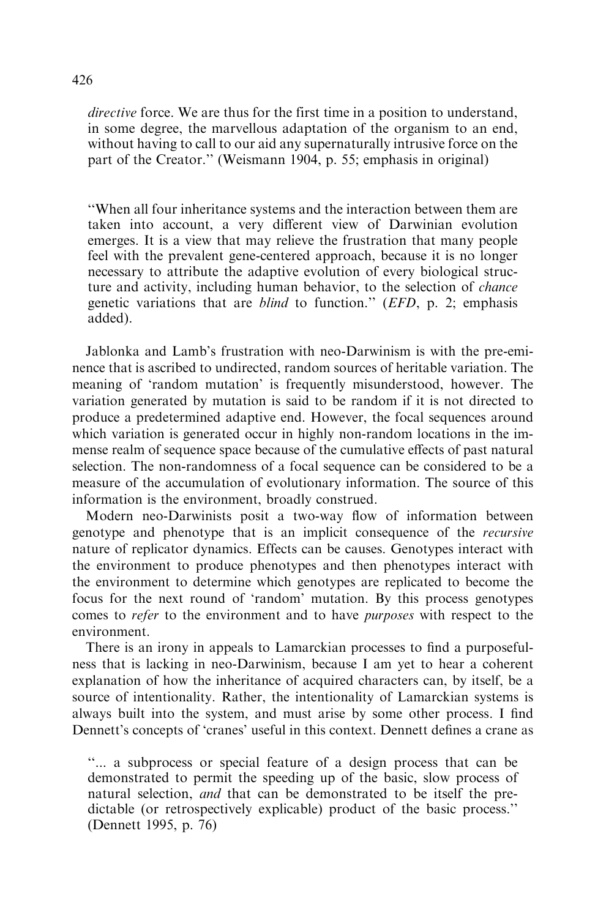directive force. We are thus for the first time in a position to understand, in some degree, the marvellous adaptation of the organism to an end, without having to call to our aid any supernaturally intrusive force on the part of the Creator.'' (Weismann 1904, p. 55; emphasis in original)

''When all four inheritance systems and the interaction between them are taken into account, a very different view of Darwinian evolution emerges. It is a view that may relieve the frustration that many people feel with the prevalent gene-centered approach, because it is no longer necessary to attribute the adaptive evolution of every biological structure and activity, including human behavior, to the selection of chance genetic variations that are blind to function.'' (EFD, p. 2; emphasis added).

Jablonka and Lamb's frustration with neo-Darwinism is with the pre-eminence that is ascribed to undirected, random sources of heritable variation. The meaning of 'random mutation' is frequently misunderstood, however. The variation generated by mutation is said to be random if it is not directed to produce a predetermined adaptive end. However, the focal sequences around which variation is generated occur in highly non-random locations in the immense realm of sequence space because of the cumulative effects of past natural selection. The non-randomness of a focal sequence can be considered to be a measure of the accumulation of evolutionary information. The source of this information is the environment, broadly construed.

Modern neo-Darwinists posit a two-way flow of information between genotype and phenotype that is an implicit consequence of the recursive nature of replicator dynamics. Effects can be causes. Genotypes interact with the environment to produce phenotypes and then phenotypes interact with the environment to determine which genotypes are replicated to become the focus for the next round of 'random' mutation. By this process genotypes comes to refer to the environment and to have purposes with respect to the environment.

There is an irony in appeals to Lamarckian processes to find a purposefulness that is lacking in neo-Darwinism, because I am yet to hear a coherent explanation of how the inheritance of acquired characters can, by itself, be a source of intentionality. Rather, the intentionality of Lamarckian systems is always built into the system, and must arise by some other process. I find Dennett's concepts of 'cranes' useful in this context. Dennett defines a crane as

''... a subprocess or special feature of a design process that can be demonstrated to permit the speeding up of the basic, slow process of natural selection, and that can be demonstrated to be itself the predictable (or retrospectively explicable) product of the basic process.'' (Dennett 1995, p. 76)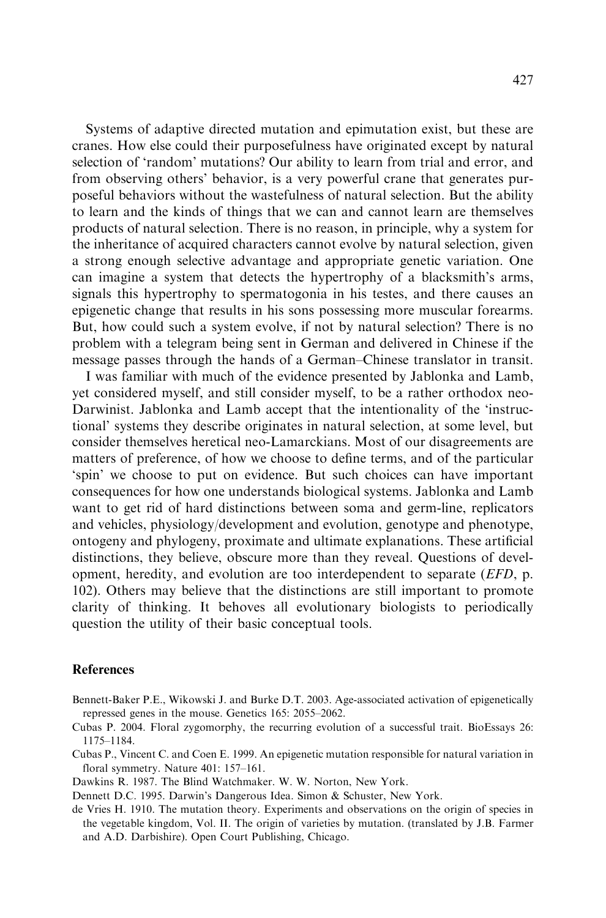Systems of adaptive directed mutation and epimutation exist, but these are cranes. How else could their purposefulness have originated except by natural selection of 'random' mutations? Our ability to learn from trial and error, and from observing others' behavior, is a very powerful crane that generates purposeful behaviors without the wastefulness of natural selection. But the ability to learn and the kinds of things that we can and cannot learn are themselves products of natural selection. There is no reason, in principle, why a system for the inheritance of acquired characters cannot evolve by natural selection, given a strong enough selective advantage and appropriate genetic variation. One can imagine a system that detects the hypertrophy of a blacksmith's arms, signals this hypertrophy to spermatogonia in his testes, and there causes an epigenetic change that results in his sons possessing more muscular forearms. But, how could such a system evolve, if not by natural selection? There is no problem with a telegram being sent in German and delivered in Chinese if the message passes through the hands of a German–Chinese translator in transit.

I was familiar with much of the evidence presented by Jablonka and Lamb, yet considered myself, and still consider myself, to be a rather orthodox neo-Darwinist. Jablonka and Lamb accept that the intentionality of the 'instructional' systems they describe originates in natural selection, at some level, but consider themselves heretical neo-Lamarckians. Most of our disagreements are matters of preference, of how we choose to define terms, and of the particular 'spin' we choose to put on evidence. But such choices can have important consequences for how one understands biological systems. Jablonka and Lamb want to get rid of hard distinctions between soma and germ-line, replicators and vehicles, physiology/development and evolution, genotype and phenotype, ontogeny and phylogeny, proximate and ultimate explanations. These artificial distinctions, they believe, obscure more than they reveal. Questions of development, heredity, and evolution are too interdependent to separate (EFD, p. 102). Others may believe that the distinctions are still important to promote clarity of thinking. It behoves all evolutionary biologists to periodically question the utility of their basic conceptual tools.

#### **References**

- Bennett-Baker P.E., Wikowski J. and Burke D.T. 2003. Age-associated activation of epigenetically repressed genes in the mouse. Genetics 165: 2055–2062.
- Cubas P. 2004. Floral zygomorphy, the recurring evolution of a successful trait. BioEssays 26: 1175–1184.
- Cubas P., Vincent C. and Coen E. 1999. An epigenetic mutation responsible for natural variation in floral symmetry. Nature 401: 157–161.
- Dawkins R. 1987. The Blind Watchmaker. W. W. Norton, New York.

Dennett D.C. 1995. Darwin's Dangerous Idea. Simon & Schuster, New York.

de Vries H. 1910. The mutation theory. Experiments and observations on the origin of species in the vegetable kingdom, Vol. II. The origin of varieties by mutation. (translated by J.B. Farmer and A.D. Darbishire). Open Court Publishing, Chicago.